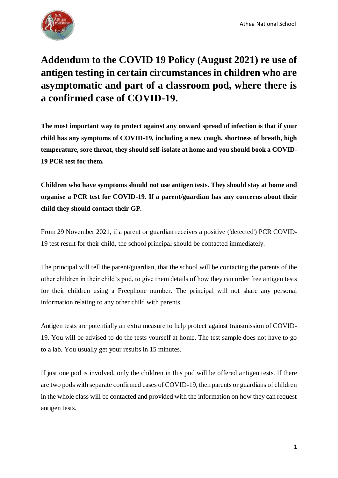

## **Addendum to the COVID 19 Policy (August 2021) re use of antigen testing in certain circumstances in children who are asymptomatic and part of a classroom pod, where there is a confirmed case of COVID-19.**

**The most important way to protect against any onward spread of infection is that if your child has any symptoms of COVID-19, including a new cough, shortness of breath, high temperature, sore throat, they should self-isolate at home and you should book a COVID-19 PCR test for them.**

**Children who have symptoms should not use antigen tests. They should stay at home and organise a PCR test for COVID-19. If a parent/guardian has any concerns about their child they should contact their GP.**

From 29 November 2021, if a parent or guardian receives a positive ('detected') PCR COVID-19 test result for their child, the school principal should be contacted immediately.

The principal will tell the parent/guardian, that the school will be contacting the parents of the other children in their child's pod, to give them details of how they can order free antigen tests for their children using a Freephone number. The principal will not share any personal information relating to any other child with parents.

Antigen tests are potentially an extra measure to help protect against transmission of COVID-19. You will be advised to do the tests yourself at home. The test sample does not have to go to a lab. You usually get your results in 15 minutes.

If just one pod is involved, only the children in this pod will be offered antigen tests. If there are two pods with separate confirmed cases of COVID-19, then parents or guardians of children in the whole class will be contacted and provided with the information on how they can request antigen tests.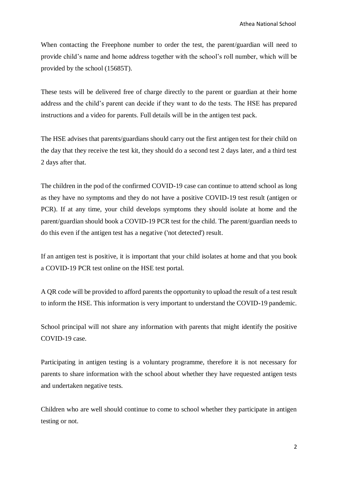When contacting the Freephone number to order the test, the parent/guardian will need to provide child's name and home address together with the school's roll number, which will be provided by the school (15685T).

These tests will be delivered free of charge directly to the parent or guardian at their home address and the child's parent can decide if they want to do the tests. The HSE has prepared instructions and a video for parents. Full details will be in the antigen test pack.

The HSE advises that parents/guardians should carry out the first antigen test for their child on the day that they receive the test kit, they should do a second test 2 days later, and a third test 2 days after that.

The children in the pod of the confirmed COVID-19 case can continue to attend school as long as they have no symptoms and they do not have a positive COVID-19 test result (antigen or PCR). If at any time, your child develops symptoms they should isolate at home and the parent/guardian should book a COVID-19 PCR test for the child. The parent/guardian needs to do this even if the antigen test has a negative ('not detected') result.

If an antigen test is positive, it is important that your child isolates at home and that you book a COVID-19 PCR test online on the HSE test portal.

A QR code will be provided to afford parents the opportunity to upload the result of a test result to inform the HSE. This information is very important to understand the COVID-19 pandemic.

School principal will not share any information with parents that might identify the positive COVID-19 case.

Participating in antigen testing is a voluntary programme, therefore it is not necessary for parents to share information with the school about whether they have requested antigen tests and undertaken negative tests.

Children who are well should continue to come to school whether they participate in antigen testing or not.